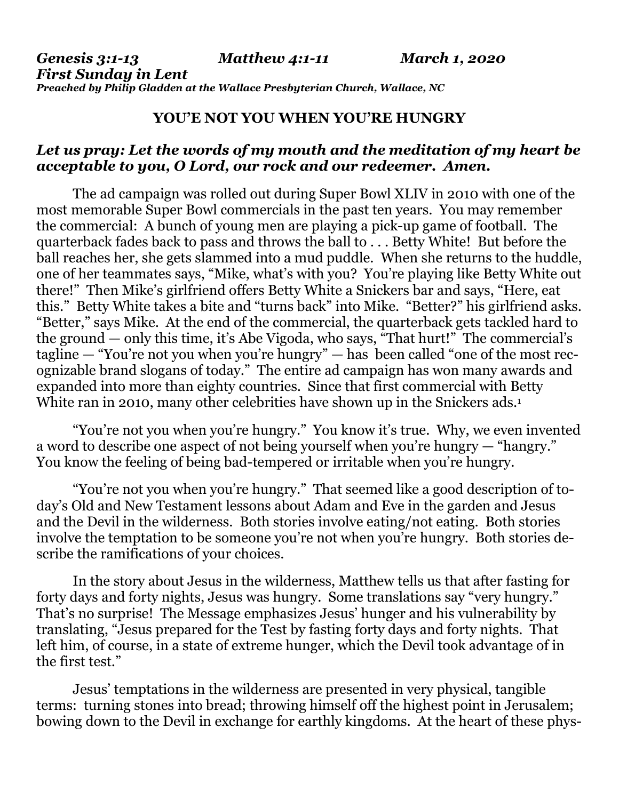## **YOU'E NOT YOU WHEN YOU'RE HUNGRY**

## *Let us pray: Let the words of my mouth and the meditation of my heart be acceptable to you, O Lord, our rock and our redeemer. Amen.*

The ad campaign was rolled out during Super Bowl XLIV in 2010 with one of the most memorable Super Bowl commercials in the past ten years. You may remember the commercial: A bunch of young men are playing a pick-up game of football. The quarterback fades back to pass and throws the ball to . . . Betty White! But before the ball reaches her, she gets slammed into a mud puddle. When she returns to the huddle, one of her teammates says, "Mike, what's with you? You're playing like Betty White out there!" Then Mike's girlfriend offers Betty White a Snickers bar and says, "Here, eat this." Betty White takes a bite and "turns back" into Mike. "Better?" his girlfriend asks. "Better," says Mike. At the end of the commercial, the quarterback gets tackled hard to the ground — only this time, it's Abe Vigoda, who says, "That hurt!" The commercial's tagline — "You're not you when you're hungry" — has been called "one of the most recognizable brand slogans of today." The entire ad campaign has won many awards and expanded into more than eighty countries. Since that first commercial with Betty White ran in 2010, many other celebrities have shown up in the Snickers ads.<sup>1</sup>

"You're not you when you're hungry." You know it's true. Why, we even invented a word to describe one aspect of not being yourself when you're hungry — "hangry." You know the feeling of being bad-tempered or irritable when you're hungry.

"You're not you when you're hungry." That seemed like a good description of today's Old and New Testament lessons about Adam and Eve in the garden and Jesus and the Devil in the wilderness. Both stories involve eating/not eating. Both stories involve the temptation to be someone you're not when you're hungry. Both stories describe the ramifications of your choices.

In the story about Jesus in the wilderness, Matthew tells us that after fasting for forty days and forty nights, Jesus was hungry. Some translations say "very hungry." That's no surprise! The Message emphasizes Jesus' hunger and his vulnerability by translating, "Jesus prepared for the Test by fasting forty days and forty nights. That left him, of course, in a state of extreme hunger, which the Devil took advantage of in the first test."

Jesus' temptations in the wilderness are presented in very physical, tangible terms: turning stones into bread; throwing himself off the highest point in Jerusalem; bowing down to the Devil in exchange for earthly kingdoms. At the heart of these phys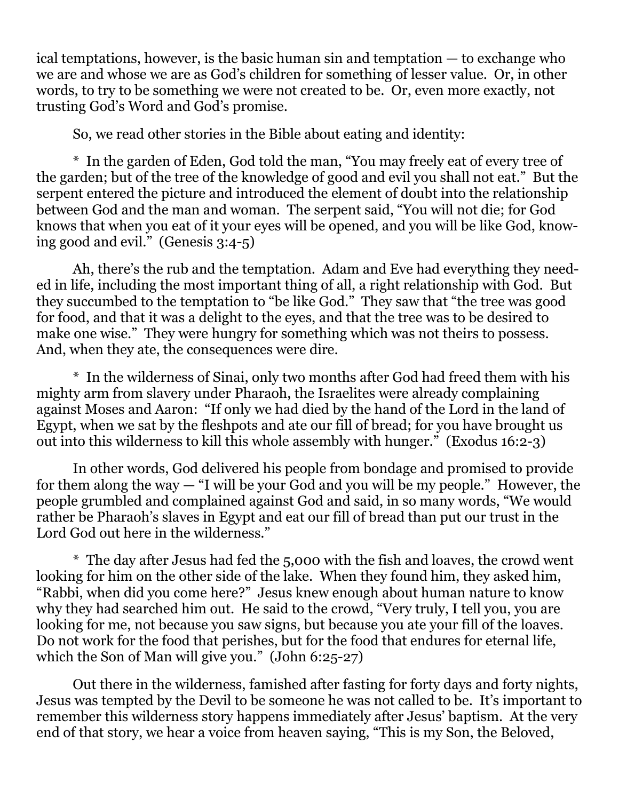ical temptations, however, is the basic human sin and temptation — to exchange who we are and whose we are as God's children for something of lesser value. Or, in other words, to try to be something we were not created to be. Or, even more exactly, not trusting God's Word and God's promise.

So, we read other stories in the Bible about eating and identity:

\* In the garden of Eden, God told the man, "You may freely eat of every tree of the garden; but of the tree of the knowledge of good and evil you shall not eat." But the serpent entered the picture and introduced the element of doubt into the relationship between God and the man and woman. The serpent said, "You will not die; for God knows that when you eat of it your eyes will be opened, and you will be like God, knowing good and evil." (Genesis 3:4-5)

Ah, there's the rub and the temptation. Adam and Eve had everything they needed in life, including the most important thing of all, a right relationship with God. But they succumbed to the temptation to "be like God." They saw that "the tree was good for food, and that it was a delight to the eyes, and that the tree was to be desired to make one wise." They were hungry for something which was not theirs to possess. And, when they ate, the consequences were dire.

\* In the wilderness of Sinai, only two months after God had freed them with his mighty arm from slavery under Pharaoh, the Israelites were already complaining against Moses and Aaron: "If only we had died by the hand of the Lord in the land of Egypt, when we sat by the fleshpots and ate our fill of bread; for you have brought us out into this wilderness to kill this whole assembly with hunger." (Exodus 16:2-3)

In other words, God delivered his people from bondage and promised to provide for them along the way — "I will be your God and you will be my people." However, the people grumbled and complained against God and said, in so many words, "We would rather be Pharaoh's slaves in Egypt and eat our fill of bread than put our trust in the Lord God out here in the wilderness."

\* The day after Jesus had fed the 5,000 with the fish and loaves, the crowd went looking for him on the other side of the lake. When they found him, they asked him, "Rabbi, when did you come here?" Jesus knew enough about human nature to know why they had searched him out. He said to the crowd, "Very truly, I tell you, you are looking for me, not because you saw signs, but because you ate your fill of the loaves. Do not work for the food that perishes, but for the food that endures for eternal life, which the Son of Man will give you." (John 6:25-27)

Out there in the wilderness, famished after fasting for forty days and forty nights, Jesus was tempted by the Devil to be someone he was not called to be. It's important to remember this wilderness story happens immediately after Jesus' baptism. At the very end of that story, we hear a voice from heaven saying, "This is my Son, the Beloved,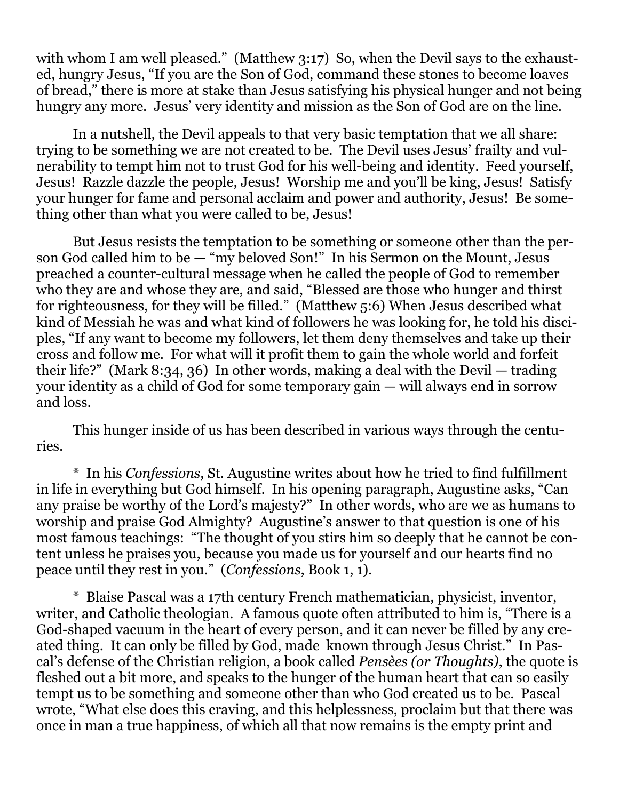with whom I am well pleased." (Matthew 3:17) So, when the Devil says to the exhausted, hungry Jesus, "If you are the Son of God, command these stones to become loaves of bread," there is more at stake than Jesus satisfying his physical hunger and not being hungry any more. Jesus' very identity and mission as the Son of God are on the line.

In a nutshell, the Devil appeals to that very basic temptation that we all share: trying to be something we are not created to be. The Devil uses Jesus' frailty and vulnerability to tempt him not to trust God for his well-being and identity. Feed yourself, Jesus! Razzle dazzle the people, Jesus! Worship me and you'll be king, Jesus! Satisfy your hunger for fame and personal acclaim and power and authority, Jesus! Be something other than what you were called to be, Jesus!

But Jesus resists the temptation to be something or someone other than the person God called him to be — "my beloved Son!" In his Sermon on the Mount, Jesus preached a counter-cultural message when he called the people of God to remember who they are and whose they are, and said, "Blessed are those who hunger and thirst for righteousness, for they will be filled." (Matthew 5:6) When Jesus described what kind of Messiah he was and what kind of followers he was looking for, he told his disciples, "If any want to become my followers, let them deny themselves and take up their cross and follow me. For what will it profit them to gain the whole world and forfeit their life?" (Mark 8:34, 36) In other words, making a deal with the Devil — trading your identity as a child of God for some temporary gain — will always end in sorrow and loss.

This hunger inside of us has been described in various ways through the centuries.

\* In his *Confessions*, St. Augustine writes about how he tried to find fulfillment in life in everything but God himself. In his opening paragraph, Augustine asks, "Can any praise be worthy of the Lord's majesty?" In other words, who are we as humans to worship and praise God Almighty? Augustine's answer to that question is one of his most famous teachings: "The thought of you stirs him so deeply that he cannot be content unless he praises you, because you made us for yourself and our hearts find no peace until they rest in you." (*Confessions*, Book 1, 1).

\* Blaise Pascal was a 17th century French mathematician, physicist, inventor, writer, and Catholic theologian. A famous quote often attributed to him is, "There is a God-shaped vacuum in the heart of every person, and it can never be filled by any created thing. It can only be filled by God, made known through Jesus Christ." In Pascal's defense of the Christian religion, a book called *Pensèes (or Thoughts)*, the quote is fleshed out a bit more, and speaks to the hunger of the human heart that can so easily tempt us to be something and someone other than who God created us to be. Pascal wrote, "What else does this craving, and this helplessness, proclaim but that there was once in man a true happiness, of which all that now remains is the empty print and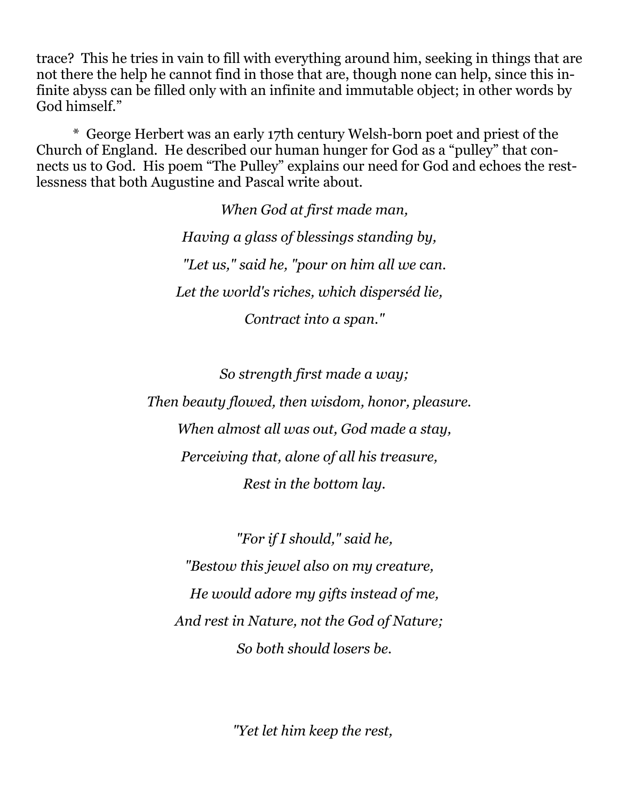trace? This he tries in vain to fill with everything around him, seeking in things that are not there the help he cannot find in those that are, though none can help, since this infinite abyss can be filled only with an infinite and immutable object; in other words by God himself."

\* George Herbert was an early 17th century Welsh-born poet and priest of the Church of England. He described our human hunger for God as a "pulley" that connects us to God. His poem "The Pulley" explains our need for God and echoes the restlessness that both Augustine and Pascal write about.

> *When God at first made man, Having a glass of blessings standing by, "Let us," said he, "pour on him all we can. Let the world's riches, which disperséd lie, Contract into a span."*

> > *So strength first made a way;*

*Then beauty flowed, then wisdom, honor, pleasure. When almost all was out, God made a stay, Perceiving that, alone of all his treasure, Rest in the bottom lay.*

 *"For if I should," said he, "Bestow this jewel also on my creature, He would adore my gifts instead of me, And rest in Nature, not the God of Nature; So both should losers be.*

 *"Yet let him keep the rest,*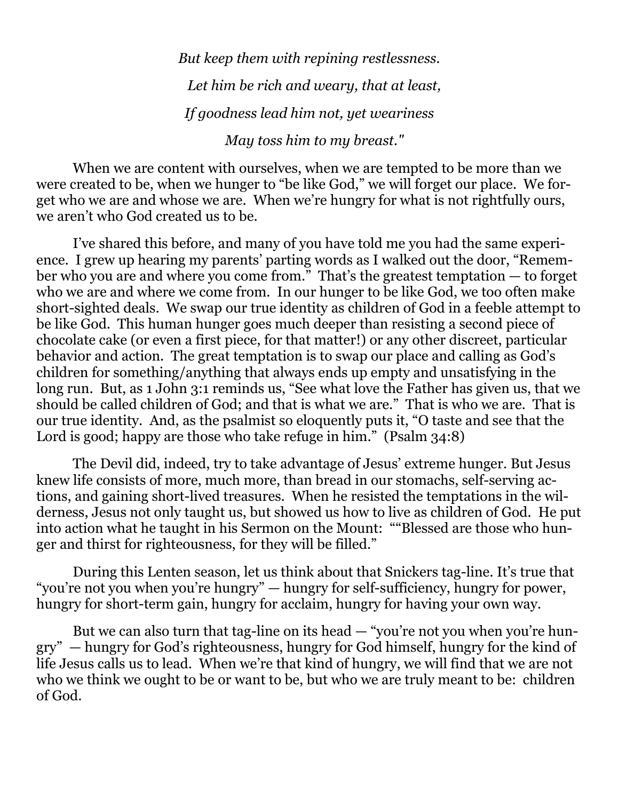*But keep them with repining restlessness. Let him be rich and weary, that at least, If goodness lead him not, yet weariness May toss him to my breast."*

When we are content with ourselves, when we are tempted to be more than we were created to be, when we hunger to "be like God," we will forget our place. We forget who we are and whose we are. When we're hungry for what is not rightfully ours, we aren't who God created us to be.

I've shared this before, and many of you have told me you had the same experience. I grew up hearing my parents' parting words as I walked out the door, "Remember who you are and where you come from." That's the greatest temptation — to forget who we are and where we come from. In our hunger to be like God, we too often make short-sighted deals. We swap our true identity as children of God in a feeble attempt to be like God. This human hunger goes much deeper than resisting a second piece of chocolate cake (or even a first piece, for that matter!) or any other discreet, particular behavior and action. The great temptation is to swap our place and calling as God's children for something/anything that always ends up empty and unsatisfying in the long run. But, as 1 John 3:1 reminds us, "See what love the Father has given us, that we should be called children of God; and that is what we are." That is who we are. That is our true identity. And, as the psalmist so eloquently puts it, "O taste and see that the Lord is good; happy are those who take refuge in him." (Psalm 34:8)

The Devil did, indeed, try to take advantage of Jesus' extreme hunger. But Jesus knew life consists of more, much more, than bread in our stomachs, self-serving actions, and gaining short-lived treasures. When he resisted the temptations in the wilderness, Jesus not only taught us, but showed us how to live as children of God. He put into action what he taught in his Sermon on the Mount: ""Blessed are those who hunger and thirst for righteousness, for they will be filled."

During this Lenten season, let us think about that Snickers tag-line. It's true that "you're not you when you're hungry" — hungry for self-sufficiency, hungry for power, hungry for short-term gain, hungry for acclaim, hungry for having your own way.

But we can also turn that tag-line on its head — "you're not you when you're hungry" — hungry for God's righteousness, hungry for God himself, hungry for the kind of life Jesus calls us to lead. When we're that kind of hungry, we will find that we are not who we think we ought to be or want to be, but who we are truly meant to be: children of God.